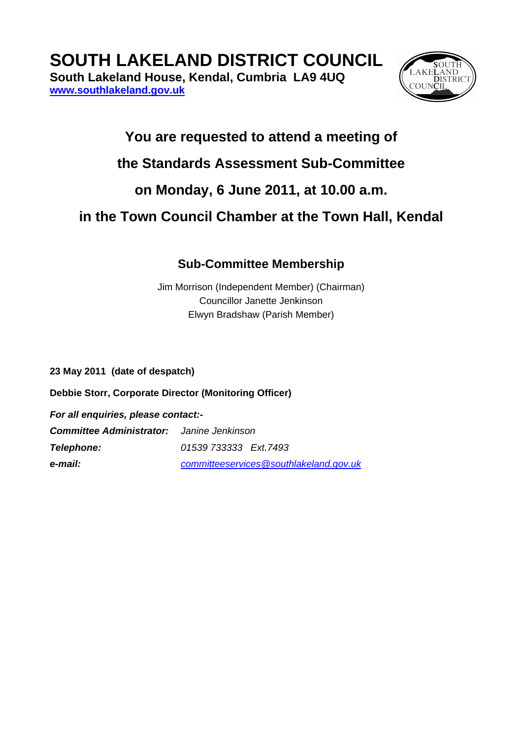**SOUTH LAKELAND DISTRICT COUNCIL** 

**South Lakeland House, Kendal, Cumbria LA9 4UQ [www.southlakeland.gov.uk](http://www.southlakeland.gov.uk/)**



## **You are requested to attend a meeting of**

### **the Standards Assessment Sub-Committee**

# **on Monday, 6 June 2011, at 10.00 a.m.**

# **in the Town Council Chamber at the Town Hall, Kendal**

#### **Sub-Committee Membership**

Jim Morrison (Independent Member) (Chairman) Councillor Janette Jenkinson Elwyn Bradshaw (Parish Member)

**23 May 2011 (date of despatch)** 

**Debbie Storr, Corporate Director (Monitoring Officer)** 

*For all enquiries, please contact:- Committee Administrator: Janine Jenkinson Telephone: 01539 733333 Ext.7493 e-mail: [committeeservices@southlakeland.gov.uk](mailto:committeeservices@southlakeland.govv.uk)*